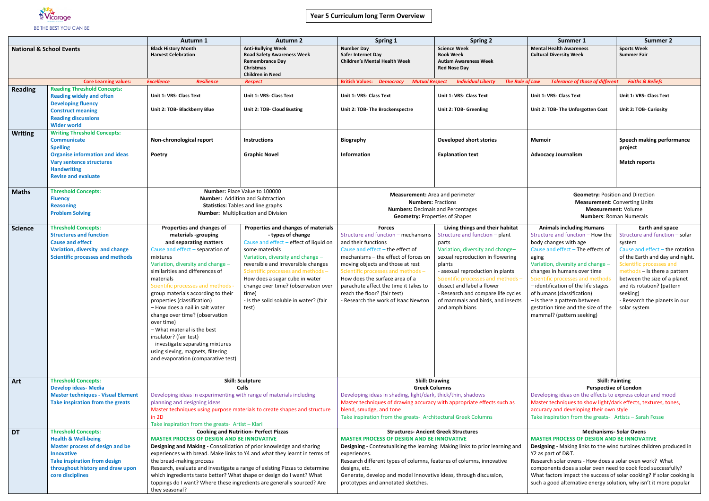

|                                     |                                                                                                                                                                                                                            | Autumn 1                                                                                                                                                                                                                                                                                                                                                                                                                                                                                                                                                                             | <b>Autumn 2</b>                                                                                                                                                                                                                                                                                                                                                             | Spring 1                                                                                                                                                                                                                                                                                                                                                                                            | <b>Spring 2</b>                                                                                                                                                                                                                                                                                                                                                   | Summer 1                                                                                                                                                                                                                                                                                                                                                                                                                    | <b>Summer 2</b>                                                                                                                                                                                                                                                                     |
|-------------------------------------|----------------------------------------------------------------------------------------------------------------------------------------------------------------------------------------------------------------------------|--------------------------------------------------------------------------------------------------------------------------------------------------------------------------------------------------------------------------------------------------------------------------------------------------------------------------------------------------------------------------------------------------------------------------------------------------------------------------------------------------------------------------------------------------------------------------------------|-----------------------------------------------------------------------------------------------------------------------------------------------------------------------------------------------------------------------------------------------------------------------------------------------------------------------------------------------------------------------------|-----------------------------------------------------------------------------------------------------------------------------------------------------------------------------------------------------------------------------------------------------------------------------------------------------------------------------------------------------------------------------------------------------|-------------------------------------------------------------------------------------------------------------------------------------------------------------------------------------------------------------------------------------------------------------------------------------------------------------------------------------------------------------------|-----------------------------------------------------------------------------------------------------------------------------------------------------------------------------------------------------------------------------------------------------------------------------------------------------------------------------------------------------------------------------------------------------------------------------|-------------------------------------------------------------------------------------------------------------------------------------------------------------------------------------------------------------------------------------------------------------------------------------|
| <b>National &amp; School Events</b> |                                                                                                                                                                                                                            | <b>Black History Month</b><br><b>Harvest Celebration</b>                                                                                                                                                                                                                                                                                                                                                                                                                                                                                                                             | <b>Anti-Bullying Week</b><br><b>Road Safety Awareness Week</b><br><b>Remembrance Day</b><br><b>Christmas</b><br><b>Children in Need</b>                                                                                                                                                                                                                                     | <b>Number Day</b><br>Safer Internet Day<br><b>Children's Mental Health Week</b>                                                                                                                                                                                                                                                                                                                     | <b>Science Week</b><br><b>Book Week</b><br><b>Autism Awareness Week</b><br><b>Red Nose Day</b>                                                                                                                                                                                                                                                                    | <b>Mental Health Awareness</b><br><b>Cultural Diversity Week</b>                                                                                                                                                                                                                                                                                                                                                            | <b>Sports Week</b><br><b>Summer Fair</b>                                                                                                                                                                                                                                            |
|                                     | <b>Core Learning values:</b>                                                                                                                                                                                               | <b>Excellence</b><br><b>Resilience</b>                                                                                                                                                                                                                                                                                                                                                                                                                                                                                                                                               | <b>Respect</b>                                                                                                                                                                                                                                                                                                                                                              | <b>British Values: Democracy</b><br><b>Mutual Respect</b>                                                                                                                                                                                                                                                                                                                                           | <b>Individual Liberty</b><br>The Rule of Law                                                                                                                                                                                                                                                                                                                      | <b>Tolerance of those of different</b>                                                                                                                                                                                                                                                                                                                                                                                      | <b>Faiths &amp; Beliefs</b>                                                                                                                                                                                                                                                         |
| <b>Reading</b>                      | <b>Reading Threshold Concepts:</b><br><b>Reading widely and often</b><br><b>Developing fluency</b><br><b>Construct meaning</b><br><b>Reading discussions</b><br><b>Wider world</b>                                         | Unit 1: VRS- Class Text<br>Unit 2: TOB- Blackberry Blue                                                                                                                                                                                                                                                                                                                                                                                                                                                                                                                              | Unit 1: VRS- Class Text<br>Unit 2: TOB- Cloud Busting                                                                                                                                                                                                                                                                                                                       | Unit 1: VRS- Class Text<br>Unit 2: TOB- The Brockenspectre                                                                                                                                                                                                                                                                                                                                          | Unit 1: VRS- Class Text<br>Unit 2: TOB- Greenling                                                                                                                                                                                                                                                                                                                 | Unit 1: VRS- Class Text<br>Unit 2: TOB- The Unforgotten Coat                                                                                                                                                                                                                                                                                                                                                                | Unit 1: VRS- Class Text<br><b>Unit 2: TOB- Curiosity</b>                                                                                                                                                                                                                            |
| <b>Writing</b>                      | <b>Writing Threshold Concepts:</b><br><b>Communicate</b><br><b>Spelling</b><br><b>Organise information and ideas</b><br><b>Vary sentence structures</b><br><b>Handwriting</b><br><b>Revise and evaluate</b>                | Non-chronological report<br><b>Poetry</b>                                                                                                                                                                                                                                                                                                                                                                                                                                                                                                                                            | <b>Instructions</b><br><b>Graphic Novel</b>                                                                                                                                                                                                                                                                                                                                 | <b>Biography</b><br><b>Information</b>                                                                                                                                                                                                                                                                                                                                                              | <b>Developed short stories</b><br><b>Explanation text</b>                                                                                                                                                                                                                                                                                                         | Memoir<br><b>Advocacy Journalism</b>                                                                                                                                                                                                                                                                                                                                                                                        | Speech making perfo<br>project<br><b>Match reports</b>                                                                                                                                                                                                                              |
| <b>Maths</b>                        | <b>Threshold Concepts:</b><br><b>Fluency</b><br><b>Reasoning</b><br><b>Problem Solving</b>                                                                                                                                 |                                                                                                                                                                                                                                                                                                                                                                                                                                                                                                                                                                                      | Number: Place Value to 100000<br><b>Number:</b> Addition and Subtraction<br><b>Statistics: Tables and line graphs</b><br><b>Number:</b> Multiplication and Division                                                                                                                                                                                                         | <b>Measurement:</b> Area and perimeter                                                                                                                                                                                                                                                                                                                                                              | <b>Numbers: Fractions</b><br><b>Numbers: Decimals and Percentages</b><br><b>Geometry: Properties of Shapes</b>                                                                                                                                                                                                                                                    | <b>Geometry: Position and Direction</b><br><b>Measurement: Converting Units</b><br>Measurement: Volume<br><b>Numbers: Roman Numerals</b>                                                                                                                                                                                                                                                                                    |                                                                                                                                                                                                                                                                                     |
| <b>Science</b>                      | <b>Threshold Concepts:</b><br><b>Structures and function</b><br><b>Cause and effect</b><br>Variation, diversity and change<br><b>Scientific processes and methods</b>                                                      | Properties and changes of<br>materials -grouping<br>and separating matters<br>Cause and effect - separation of<br>mixtures<br>Variation, diversity and change -<br>similarities and differences of<br>materials<br>Scientific processes and methods<br>group materials according to their<br>properties (classification)<br>- How does a nail in salt water<br>change over time? (observation<br>over time)<br>- What material is the best<br>insulator? (fair test)<br>- investigate separating mixtures<br>using sieving, magnets, filtering<br>and evaporation (comparative test) | Properties and changes of materials<br>- types of change<br>Cause and effect - effect of liquid on<br>some materials<br>Variation, diversity and change -<br>reversible and irreversible changes<br>Scientific processes and methods -<br>How does a sugar cube in water<br>change over time? (observation over<br>time)<br>- Is the solid soluble in water? (fair<br>test) | <b>Forces</b><br>Structure and function - mechanisms<br>and their functions<br>Cause and effect $-$ the effect of<br>mechanisms - the effect of forces on<br>moving objects and those at rest<br>Scientific processes and methods -<br>How does the surface area of a<br>parachute affect the time it takes to<br>reach the floor? (fair test)<br>- Research the work of Isaac Newton               | Living things and their habitat<br>Structure and function - plant<br>parts<br>Variation, diversity and change-<br>sexual reproduction in flowering<br>plants<br>- asexual reproduction in plants<br>Scientific processes and methods -<br>dissect and label a flower<br>- Research and compare life cycles<br>of mammals and birds, and insects<br>and amphibians | <b>Animals including Humans</b><br>Structure and function - How the<br>body changes with age<br>Cause and effect - The effects of<br>aging<br>Variation, diversity and change -<br>changes in humans over time<br>Scientific processes and methods<br>- identification of the life stages<br>of humans (classification)<br>- Is there a pattern between<br>gestation time and the size of the<br>mammal? (pattern seeking)  | Earth and spa<br><b>Structure and function</b><br>system<br>Cause and effect $-$ the<br>of the Earth and day a<br>Scientific processes ar<br>methods $-$ Is there a $\mu$<br>between the size of a<br>and its rotation? (patt<br>seeking)<br>- Research the planet:<br>solar system |
| Art                                 | <b>Threshold Concepts:</b><br><b>Develop ideas- Media</b><br><b>Master techniques - Visual Element</b><br>Take inspiration from the greats                                                                                 | <b>Skill: Sculpture</b><br>Cells<br>Developing ideas in experimenting with range of materials including<br>planning and designing ideas<br>Master techniques using purpose materials to create shapes and structure<br>in 2D<br>Take inspiration from the greats- Artist - Klari                                                                                                                                                                                                                                                                                                     |                                                                                                                                                                                                                                                                                                                                                                             | <b>Skill: Drawing</b><br><b>Greek Columns</b><br>Developing ideas in shading, light/dark, thick/thin, shadows<br>Master techniques of drawing accuracy with appropriate effects such as<br>blend, smudge, and tone<br>Take inspiration from the greats- Architectural Greek Columns                                                                                                                 |                                                                                                                                                                                                                                                                                                                                                                   | <b>Skill: Painting</b><br><b>Perspective of London</b><br>Developing ideas on the effects to express colour and mod<br>Master techniques to show light/dark effects, textures, tor<br>accuracy and developing their own style<br>Take inspiration from the greats- Artists - Sarah Fosse                                                                                                                                    |                                                                                                                                                                                                                                                                                     |
| DT                                  | <b>Threshold Concepts:</b><br><b>Health &amp; Well-being</b><br><b>Master process of design and be</b><br><b>Innovative</b><br><b>Take inspiration from design</b><br>throughout history and draw upon<br>core disciplines | <b>MASTER PROCESS OF DESIGN AND BE INNOVATIVE</b><br>Designing and Making - Consolidation of prior knowledge and sharing<br>the bread-making process<br>which ingredients taste better? What shape or design do I want? What<br>toppings do I want? Where these ingredients are generally sourced? Are<br>they seasonal?                                                                                                                                                                                                                                                             | <b>Cooking and Nutrition- Perfect Pizzas</b><br>experiences with bread. Make links to Y4 and what they learnt in terms of<br>Research, evaluate and investigate a range of existing Pizzas to determine                                                                                                                                                                     | <b>Structures-Ancient Greek Structures</b><br><b>MASTER PROCESS OF DESIGN AND BE INNOVATIVE</b><br>Designing - Contextualising the learning: Making links to prior learning and<br>experiences.<br>Research different types of columns, features of columns, innovative<br>designs, etc.<br>Generate, develop and model innovative ideas, through discussion,<br>prototypes and annotated sketches. |                                                                                                                                                                                                                                                                                                                                                                   | <b>Mechanisms-Solar Ovens</b><br><b>MASTER PROCESS OF DESIGN AND BE INNOVATIVE</b><br>Designing - Making links to the wind turbines children prod<br>Y2 as part of D&T.<br>Research solar ovens - How does a solar oven work? What<br>components does a solar oven need to cook food successf<br>What factors impact the success of solar cooking? If solar o<br>such a good alternative energy solution, why isn't it more |                                                                                                                                                                                                                                                                                     |

| Summer 1                                                              | Summer 2                             |  |  |  |  |  |
|-----------------------------------------------------------------------|--------------------------------------|--|--|--|--|--|
| <b>Mental Health Awareness</b>                                        | <b>Sports Week</b>                   |  |  |  |  |  |
| <b>Cultural Diversity Week</b>                                        | <b>Summer Fair</b>                   |  |  |  |  |  |
|                                                                       |                                      |  |  |  |  |  |
|                                                                       |                                      |  |  |  |  |  |
|                                                                       |                                      |  |  |  |  |  |
| <b>Tolerance of those of different</b><br>Law                         | <b>Faiths &amp; Beliefs</b>          |  |  |  |  |  |
|                                                                       |                                      |  |  |  |  |  |
| Unit 1: VRS- Class Text                                               | Unit 1: VRS- Class Text              |  |  |  |  |  |
|                                                                       |                                      |  |  |  |  |  |
| Unit 2: TOB- The Unforgotten Coat                                     | Unit 2: TOB- Curiosity               |  |  |  |  |  |
|                                                                       |                                      |  |  |  |  |  |
|                                                                       |                                      |  |  |  |  |  |
|                                                                       |                                      |  |  |  |  |  |
| Memoir                                                                | Speech making performance<br>project |  |  |  |  |  |
|                                                                       |                                      |  |  |  |  |  |
| <b>Advocacy Journalism</b>                                            | <b>Match reports</b>                 |  |  |  |  |  |
|                                                                       |                                      |  |  |  |  |  |
|                                                                       |                                      |  |  |  |  |  |
|                                                                       |                                      |  |  |  |  |  |
|                                                                       |                                      |  |  |  |  |  |
|                                                                       |                                      |  |  |  |  |  |
| <b>Geometry: Position and Direction</b>                               |                                      |  |  |  |  |  |
| <b>Measurement: Converting Units</b>                                  |                                      |  |  |  |  |  |
| Measurement: Volume                                                   |                                      |  |  |  |  |  |
| <b>Numbers: Roman Numerals</b>                                        |                                      |  |  |  |  |  |
| <b>Animals including Humans</b>                                       | <b>Earth and space</b>               |  |  |  |  |  |
| Structure and function - How the                                      | Structure and function - solar       |  |  |  |  |  |
| body changes with age                                                 | system                               |  |  |  |  |  |
| Cause and effect - The effects of                                     |                                      |  |  |  |  |  |
|                                                                       | Cause and effect $-$ the rotation    |  |  |  |  |  |
| aging                                                                 | of the Earth and day and night.      |  |  |  |  |  |
| Variation, diversity and change -                                     | Scientific processes and             |  |  |  |  |  |
| changes in humans over time                                           | methods - Is there a pattern         |  |  |  |  |  |
| Scientific processes and methods                                      | between the size of a planet         |  |  |  |  |  |
| - identification of the life stages                                   | and its rotation? (pattern           |  |  |  |  |  |
| of humans (classification)                                            | seeking)                             |  |  |  |  |  |
| - Is there a pattern between                                          | - Research the planets in our        |  |  |  |  |  |
| gestation time and the size of the                                    | solar system                         |  |  |  |  |  |
| mammal? (pattern seeking)                                             |                                      |  |  |  |  |  |
|                                                                       |                                      |  |  |  |  |  |
|                                                                       |                                      |  |  |  |  |  |
|                                                                       |                                      |  |  |  |  |  |
|                                                                       |                                      |  |  |  |  |  |
|                                                                       |                                      |  |  |  |  |  |
|                                                                       |                                      |  |  |  |  |  |
|                                                                       |                                      |  |  |  |  |  |
|                                                                       |                                      |  |  |  |  |  |
|                                                                       |                                      |  |  |  |  |  |
| <b>Skill: Painting</b>                                                |                                      |  |  |  |  |  |
| <b>Perspective of London</b>                                          |                                      |  |  |  |  |  |
| Developing ideas on the effects to express colour and mood            |                                      |  |  |  |  |  |
| Master techniques to show light/dark effects, textures, tones,        |                                      |  |  |  |  |  |
| accuracy and developing their own style                               |                                      |  |  |  |  |  |
| Take inspiration from the greats- Artists - Sarah Fosse               |                                      |  |  |  |  |  |
|                                                                       |                                      |  |  |  |  |  |
| <b>Mechanisms-Solar Ovens</b>                                         |                                      |  |  |  |  |  |
| <b>MASTER PROCESS OF DESIGN AND BE INNOVATIVE</b>                     |                                      |  |  |  |  |  |
| Designing - Making links to the wind turbines children produced in    |                                      |  |  |  |  |  |
| Y2 as part of D&T.                                                    |                                      |  |  |  |  |  |
| Research solar ovens - How does a solar oven work? What               |                                      |  |  |  |  |  |
| components does a solar oven need to cook food successfully?          |                                      |  |  |  |  |  |
| What factors impact the success of solar cooking? If solar cooking is |                                      |  |  |  |  |  |
| such a good alternative energy solution, why isn't it more popular    |                                      |  |  |  |  |  |
|                                                                       |                                      |  |  |  |  |  |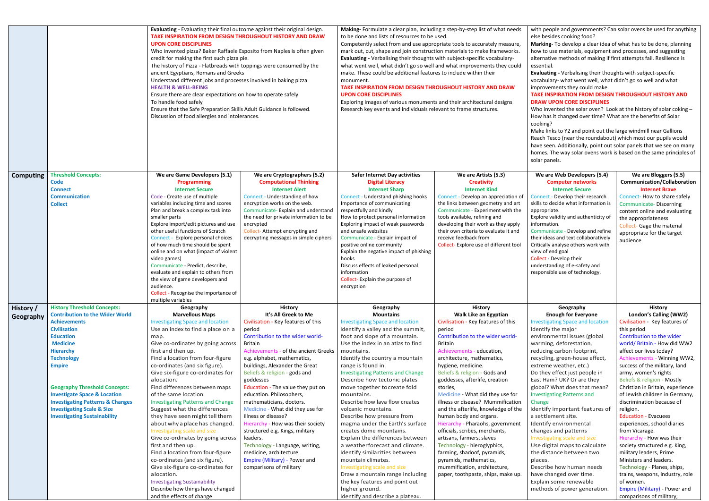|                        |                                                                                                                                                                                                                                                                                                                                                                                                                                               | Evaluating - Evaluating their final outcome against their original design.<br>TAKE INSPIRATION FROM DESIGN THROUGHOUT HISTORY AND DRAW<br><b>UPON CORE DISCIPLINES</b><br>Who invented pizza? Baker Raffaele Esposito from Naples is often given<br>credit for making the first such pizza pie.<br>The history of Pizza - Flatbreads with toppings were consumed by the<br>ancient Egyptians, Romans and Greeks<br>Understand different jobs and processes involved in baking pizza<br><b>HEALTH &amp; WELL-BEING</b><br>Ensure there are clear expectations on how to operate safely<br>To handle food safely<br>Ensure that the Safe Preparation Skills Adult Guidance is followed.<br>Discussion of food allergies and intolerances.                                                                                                             |                                                                                                                                                                                                                                                                                                                                                                                                                                                                                                                                                                                                                                                                            | Making-Formulate a clear plan, including a step-by-step list of what needs<br>to be done and lists of resources to be used.<br>Competently select from and use appropriate tools to accurately measure,<br>mark out, cut, shape and join construction materials to make frameworks.<br>Evaluating - Verbalising their thoughts with subject-specific vocabulary-<br>what went well, what didn't go so well and what improvements they could<br>make. These could be additional features to include within their<br>monument.<br><b>TAKE INSPIRATION FROM DESIGN THROUGHOUT HISTORY AND DRAW</b><br><b>UPON CORE DISCIPLINES</b><br>Exploring images of various monuments and their architectural designs<br>Research key events and individuals relevant to frame structures.                                                    |                                                                                                                                                                                                                                                                                                                                                                                                                                                                                                                                                                                                                                                                                                                           | with people and governments? Can solar ovens be used for anything<br>else besides cooking food?<br>Marking- To develop a clear idea of what has to be done, planning<br>how to use materials, equipment and processes, and suggesting<br>alternative methods of making if first attempts fail. Resilience is<br>essential.<br>Evaluating - Verbalising their thoughts with subject-specific<br>vocabulary- what went well, what didn't go so well and what<br>improvements they could make.<br>TAKE INSPIRATION FROM DESIGN THROUGHOUT HISTORY AND<br><b>DRAW UPON CORE DISCIPLINES</b><br>Who invented the solar oven? Look at the history of solar coking -<br>How has it changed over time? What are the benefits of Solar<br>cooking?<br>Make links to Y2 and point out the large windmill near Gallions<br>Reach Tesco (near the roundabout) which most our pupils would<br>have seen. Additionally, point out solar panels that we see on many<br>homes. The way solar ovens work is based on the same principles of<br>solar panels. |                                                                                                                                                                                                                                                                                                                                                                                                                                                                                                                                                                                                                                                                                                                                                                         |
|------------------------|-----------------------------------------------------------------------------------------------------------------------------------------------------------------------------------------------------------------------------------------------------------------------------------------------------------------------------------------------------------------------------------------------------------------------------------------------|-----------------------------------------------------------------------------------------------------------------------------------------------------------------------------------------------------------------------------------------------------------------------------------------------------------------------------------------------------------------------------------------------------------------------------------------------------------------------------------------------------------------------------------------------------------------------------------------------------------------------------------------------------------------------------------------------------------------------------------------------------------------------------------------------------------------------------------------------------|----------------------------------------------------------------------------------------------------------------------------------------------------------------------------------------------------------------------------------------------------------------------------------------------------------------------------------------------------------------------------------------------------------------------------------------------------------------------------------------------------------------------------------------------------------------------------------------------------------------------------------------------------------------------------|----------------------------------------------------------------------------------------------------------------------------------------------------------------------------------------------------------------------------------------------------------------------------------------------------------------------------------------------------------------------------------------------------------------------------------------------------------------------------------------------------------------------------------------------------------------------------------------------------------------------------------------------------------------------------------------------------------------------------------------------------------------------------------------------------------------------------------|---------------------------------------------------------------------------------------------------------------------------------------------------------------------------------------------------------------------------------------------------------------------------------------------------------------------------------------------------------------------------------------------------------------------------------------------------------------------------------------------------------------------------------------------------------------------------------------------------------------------------------------------------------------------------------------------------------------------------|---------------------------------------------------------------------------------------------------------------------------------------------------------------------------------------------------------------------------------------------------------------------------------------------------------------------------------------------------------------------------------------------------------------------------------------------------------------------------------------------------------------------------------------------------------------------------------------------------------------------------------------------------------------------------------------------------------------------------------------------------------------------------------------------------------------------------------------------------------------------------------------------------------------------------------------------------------------------------------------------------------------------------------------------|-------------------------------------------------------------------------------------------------------------------------------------------------------------------------------------------------------------------------------------------------------------------------------------------------------------------------------------------------------------------------------------------------------------------------------------------------------------------------------------------------------------------------------------------------------------------------------------------------------------------------------------------------------------------------------------------------------------------------------------------------------------------------|
| Computing              | <b>Threshold Concepts:</b><br><b>Code</b><br><b>Connect</b><br><b>Communication</b><br><b>Collect</b>                                                                                                                                                                                                                                                                                                                                         | We are Game Developers (5.1)<br>Programming<br><b>Internet Secure</b><br>Code - Create use of multiple<br>variables including time and scores<br>Plan and break a complex task into<br>smaller parts<br>Explore import/edit pictures and use<br>other useful functions of Scratch<br>Connect - Explore personal choices<br>of how much time should be spent<br>online and on what (impact of violent<br>video games)<br>Communicate - Predict, describe,<br>evaluate and explain to others from<br>the view of game developers and<br>audience.<br>Collect - Recognise the importance of<br>multiple variables                                                                                                                                                                                                                                      | We are Cryptographers (5.2)<br><b>Computational Thinking</b><br><b>Internet Alert</b><br>Connect - Understanding of how<br>encryption works on the web.<br>Communicate-Explain and understand<br>the need for private information to be<br>encrypted<br>Collect-Attempt encrypting and<br>decrypting messages in simple ciphers                                                                                                                                                                                                                                                                                                                                            | <b>Safer Internet Day activities</b><br><b>Digital Literacy</b><br><b>Internet Sharp</b><br><b>Connect - Understand phishing hooks</b><br>Importance of communicating<br>respectfully and kindly<br>How to protect personal information<br>Exploring impact of weak passwords<br>and unsafe websites<br>Communicate - Explain impact of<br>positive online community<br>Explain the negative impact of phishing<br>hooks<br>Discuss effects of leaked personal<br>information<br>Collect-Explain the purpose of<br>encryption                                                                                                                                                                                                                                                                                                    | We are Artists (5.3)<br><b>Creativity</b><br><b>Internet Kind</b><br>Connect - Develop an appreciation of<br>the links between geometry and art<br>Communicate - Experiment with the<br>tools available, refining and<br>developing their work as they apply<br>their own criteria to evaluate it and<br>receive feedback from<br>Collect-Explore use of different tool                                                                                                                                                                                                                                                                                                                                                   | We are Web Developers (5.4)<br><b>Computer networks</b><br><b>Internet Secure</b><br>Connect - Develop their research<br>skills to decide what information is<br>appropriate.<br>Explore validity and authenticity of<br>information.<br>Communicate - Develop and refine<br>their ideas and text collaboratively<br>Critically analyse others work with<br>view of end goal<br>Collect - Develop their<br>understanding of e-safety and<br>responsible use of technology.                                                                                                                                                                                                                                                                                                                                                                                                                                                                                                                                                                  | We are Bloggers (5.5)<br><b>Communication/Collaboration</b><br><b>Internet Brave</b><br>Connect-How to share safely<br><b>Communicate-Discerning</b><br>content online and evaluating<br>the appropriateness<br>Collect-Gage the material<br>appropriate for the target<br>audience                                                                                                                                                                                                                                                                                                                                                                                                                                                                                     |
| History /<br>Geography | <b>History Threshold Concepts:</b><br><b>Contribution to the Wider World</b><br><b>Achievements</b><br><b>Civilisation</b><br><b>Education</b><br><b>Medicine</b><br><b>Hierarchy</b><br><b>Technology</b><br><b>Empire</b><br><b>Geography Threshold Concepts:</b><br><b>Investigate Space &amp; Location</b><br><b>Investigating Patterns &amp; Changes</b><br><b>Investigating Scale &amp; Size</b><br><b>Investigating Sustainability</b> | Geography<br><b>Marvellous Maps</b><br><b>Investigating Space and location</b><br>Use an index to find a place on a<br>map.<br>Give co-ordinates by going across<br>first and then up.<br>Find a location from four-figure<br>co-ordinates (and six figure).<br>Give six-figure co-ordinates for<br>alocation.<br>Find differences between maps<br>of the same location.<br><b>Investigating Patterns and Change</b><br>Suggest what the differences<br>they have seen might tell them<br>about why a place has changed.<br>Investigating scale and size<br>Give co-ordinates by going across<br>first and then up.<br>Find a location from four-figure<br>co-ordinates (and six figure).<br>Give six-figure co-ordinates for<br>alocation.<br><b>Investigating Sustainability</b><br>Describe how things have changed<br>and the effects of change | <b>History</b><br>It's All Greek to Me<br>Civilisation - Key features of this<br>period<br>Contribution to the wider world-<br><b>Britain</b><br>Achievements - of the ancient Greeks<br>e.g. alphabet, mathematics,<br>buildings, Alexander the Great<br>Beliefs & religion - gods and<br>goddesses<br>Education - The value they put on<br>education. Philosophers,<br>mathematicians, doctors.<br>Medicine - What did they use for<br>illness or disease?<br>Hierarchy - How was their society<br>structured e.g. Kings, military<br>leaders.<br>Technology - Language, writing,<br>medicine, architecture.<br>Empire (Military) - Power and<br>comparisons of military | Geography<br><b>Mountains</b><br><b>Investigating Space and location</b><br>Identify a valley and the summit,<br>foot and slope of a mountain.<br>Use the index in an atlas to find<br>mountains.<br>Identify the country a mountain<br>range is found in.<br><b>Investigating Patterns and Change</b><br>Describe how tectonic plates<br>move together to create fold<br>mountains.<br>Describe how lava flow creates<br>volcanic mountains.<br>Describe how pressure from<br>magma under the Earth's surface<br>creates dome mountains.<br>Explain the differences between<br>a weatherforecast and climate.<br>Identify similarities between<br>mountain climates.<br>Investigating scale and size<br>Draw a mountain range including<br>the key features and point out<br>higher ground.<br>Identify and describe a plateau. | <b>History</b><br>Walk Like an Egyptian<br>Civilisation - Key features of this<br>period<br>Contribution to the wider world-<br><b>Britain</b><br>Achievements - education,<br>architecture, mathematics,<br>hygiene, medicine.<br>Beliefs & religion - Gods and<br>goddesses, afterlife, creation<br>stories,<br>Medicine - What did they use for<br>illness or disease? Mummification<br>and the afterlife, knowledge of the<br>human body and organs.<br>Hierarchy - Pharaohs, government<br>officials, scribes, merchants,<br>artisans, farmers, slaves<br>Technology - hieroglyphics,<br>farming, shadoof, pyramids,<br>pyramids, mathematics,<br>mummification, architecture,<br>paper, toothpaste, ships, make up. | Geography<br><b>Enough for Everyone</b><br><b>Investigating Space and location</b><br>Identify the major<br>environmental issues (global<br>warming, deforestation,<br>reducing carbon footprint,<br>recycling, green-house effect,<br>extreme weather, etc.)<br>Do they effect just people in<br>East Ham? UK? Or are they<br>global? What does that mean?<br><b>Investigating Patterns and</b><br>Change<br>Identify important features of<br>a settlement site.<br>Identify environmental<br>changes and patterns<br>Investigating scale and size<br>Use digital maps to calculate<br>the distance between two<br>places.<br>Describe how human needs<br>have changed over time.<br>Explain some renewable<br>methods of power generation.                                                                                                                                                                                                                                                                                               | <b>History</b><br>London's Calling (WW2)<br>Civilisation - Key features of<br>this period<br>Contribution to the wider<br>world/ Britain - How did WW2<br>affect our lives today?<br>Achievements - Winning WW2,<br>success of the military, land<br>army, women's rights<br>Beliefs & religion - Mostly<br>Christian in Britain, experience<br>of Jewish children in Germany,<br>discrimination because of<br>religion.<br><b>Education - Evacuees</b><br>experiences, school diaries<br>from Vicarage.<br>Hierarchy - How was their<br>society structured e.g. King,<br>military leaders, Prime<br>Ministers and leaders.<br>Technology - Planes, ships,<br>trains, weapons, industry, role<br>of women.<br>Empire (Military) - Power and<br>comparisons of military, |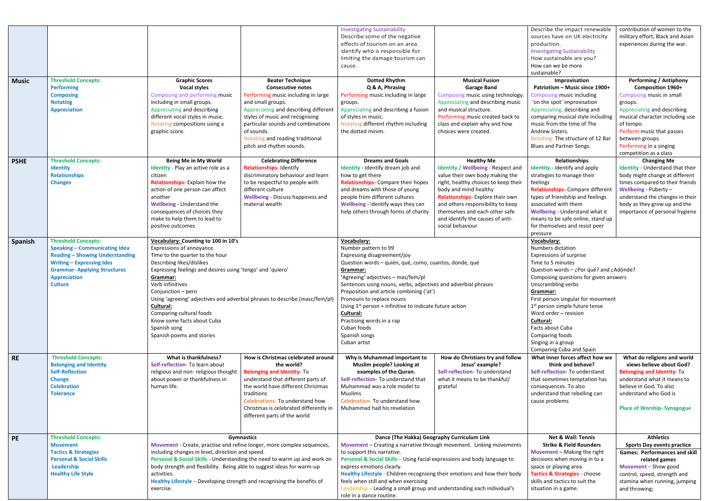|                |                                                                                                                                                                                                                                  |                                                                                                                                                                                                                                                                                                                                                                                                                                                        |                                                                                                                                                                                                                                                                                                                 | <b>Investigating Sustainability</b><br>Describe some of the negative<br>effects of tourism on an area.<br>Identify who is responsible for<br>limiting the damage tourism can<br>cause.                                                                                                                                                                                                                                                                                                |                                                                                                                                                                                                                                                                                                                                       | Describe the impact renewable<br>sources have on UK electricity<br>production.<br><b>Investigating Sustainability</b><br>How sustainable are you?<br>How can we be more<br>sustainable?                                                                                                                                                                                                                                          | contribution of women to the<br>military effort, Black and Asian<br>experiences during the war.                                                                                                                                                                               |
|----------------|----------------------------------------------------------------------------------------------------------------------------------------------------------------------------------------------------------------------------------|--------------------------------------------------------------------------------------------------------------------------------------------------------------------------------------------------------------------------------------------------------------------------------------------------------------------------------------------------------------------------------------------------------------------------------------------------------|-----------------------------------------------------------------------------------------------------------------------------------------------------------------------------------------------------------------------------------------------------------------------------------------------------------------|---------------------------------------------------------------------------------------------------------------------------------------------------------------------------------------------------------------------------------------------------------------------------------------------------------------------------------------------------------------------------------------------------------------------------------------------------------------------------------------|---------------------------------------------------------------------------------------------------------------------------------------------------------------------------------------------------------------------------------------------------------------------------------------------------------------------------------------|----------------------------------------------------------------------------------------------------------------------------------------------------------------------------------------------------------------------------------------------------------------------------------------------------------------------------------------------------------------------------------------------------------------------------------|-------------------------------------------------------------------------------------------------------------------------------------------------------------------------------------------------------------------------------------------------------------------------------|
| <b>Music</b>   | <b>Threshold Concepts:</b><br><b>Performing</b><br><b>Composing</b><br><b>Notating</b><br><b>Appreciation</b>                                                                                                                    | <b>Graphic Scores</b><br><b>Vocal styles</b><br>Composing and performing music<br>including in small groups.<br>Appreciating and describing<br>different vocal styles in music.<br>Notating compositions using a<br>graphic score.                                                                                                                                                                                                                     | <b>Beater Technique</b><br><b>Consecutive notes</b><br>Performing music including in large<br>and small groups.<br>Appreciating and describing different<br>styles of music and recognising<br>particular sounds and combinations<br>of sounds.<br>Notating and reading traditional<br>pitch and rhythm sounds. | <b>Dotted Rhythm</b><br>Q & A, Phrasing<br>Performing music including in large<br>groups.<br>Appreciating and describing a fusion<br>of styles in music.<br>Notating different rhythm including<br>the dotted minim.                                                                                                                                                                                                                                                                  | <b>Musical Fusion</b><br><b>Garage Band</b><br>Composing music using technology.<br>Appreciating and describing music<br>and musical structure.<br>Performing music created back to<br>class and explain why and how<br>choices were created.                                                                                         | Improvisation<br>Patriotism - Music since 1900+<br>Composing music including<br>'on the spot' improvisation<br>Appreciating, describing and<br>comparing musical style including<br>music from the time of The<br>Andrew Sisters.<br>Notating-The structure of 12 Bar<br>Blues and Partner Songs.                                                                                                                                | <b>Performing / Antiphony</b><br>Composition 1960+<br>Composing music in small<br>groups.<br>Appreciating and describing<br>musical character including use<br>of tempo.<br>Perform music that passes<br>between groups.<br>Performing in a singing<br>competition as a class |
| <b>PSHE</b>    | <b>Threshold Concepts:</b><br><b>Identity</b><br><b>Relationships</b><br><b>Changes</b>                                                                                                                                          | Being Me in My World<br>Identity - Play an active role as a<br>citizen<br>Relationships- Explain how the<br>action of one person can affect<br>another<br>Wellbeing - Understand the<br>consequences of choices they<br>make to help them to lead to<br>positive outcomes                                                                                                                                                                              | <b>Celebrating Difference</b><br>Relationships-Identify<br>discriminatory behaviour and learn<br>to be respectful to people with<br>different culture<br>Wellbeing - Discuss happiness and<br>material wealth                                                                                                   | <b>Dreams and Goals</b><br>Identity - Identify dream job and<br>how to get there<br><b>Relationships-</b> Compare their hopes<br>and dreams with those of young<br>people from different cultures<br>Wellbeing - Identify ways they can<br>help others through forms of charity                                                                                                                                                                                                       | <b>Healthy Me</b><br><b>Identity / Wellbeing - Respect and</b><br>value their own body making the<br>right, healthy choices to keep their<br>body and mind healthy<br>Relationships- Explore their own<br>and others responsibility to keep<br>themselves and each other safe<br>and identify the causes of anti-<br>social behaviour | <b>Relationships</b><br>Identity - Identify and apply<br>strategies to manage their<br>feelings<br><b>Relationships-</b> Compare different<br>types of friendship and feelings<br>associated with them<br>Wellbeing - Understand what it<br>means to be safe online, stand up<br>for themselves and resist peer<br>pressure                                                                                                      | <b>Changing Me</b><br><b>Identity - Understand that their</b><br>body might change at different<br>times compared to their friends<br>Wellbeing - Puberty $-$<br>understand the changes in their<br>body as they grow up and the<br>importance of personal hygiene            |
| <b>Spanish</b> | <b>Threshold Concepts:</b><br><b>Speaking - Communicating Idea</b><br><b>Reading - Showing Understanding</b><br><b>Writing - Expressing Ides</b><br><b>Grammar- Applying Structures</b><br><b>Appreciation</b><br><b>Culture</b> | Vocabulary: Counting to 100 in 10's<br>Expressions of annoyance<br>Time to the quarter to the hour<br>Describing likes/dislikes<br>Expressing feelings and desires using 'tengo' and 'quiero'<br>Grammar:<br>Verb infinitives<br>Conjunction - pero<br>Using 'agreeing' adjectives and adverbial phrases to describe (masc/fem/pl)<br>Cultural:<br>Comparing cultural foods<br>Know some facts about Cuba<br>Spanish song<br>Spanish poems and stories |                                                                                                                                                                                                                                                                                                                 | Vocabulary:<br>Number pattern to 99<br>Expressing disagreement/joy<br>Question words - quién, qué, como, cuantos, donde, qué<br>Grammar:<br>'Agreeing' adjectives - mas/fem/pl<br>Sentences using nouns, verbs, adjectives and adverbial phrases<br>Preposition and article combining ('at')<br>Pronouns to replace nouns<br>Using $1^{st}$ person + infinitive to indicate future action<br>Cultural:<br>Practising words in a rap<br>Cuban foods<br>Spanish songs<br>Cuban artist   |                                                                                                                                                                                                                                                                                                                                       | Vocabulary:<br><b>Numbers dictation</b><br>Expressions of surprise<br>Time to 5 minutes<br>Question words - ¿Por qué? and ¿Adónde?<br>Composing questions for given answers<br>Unscrambling verbs<br>Grammar:<br>First person singular for movement<br>1 <sup>st</sup> person simple future tense<br>Word order - revision<br>Cultural:<br>Facts about Cuba<br>Comparing foods<br>Singing in a group<br>Comparing Cuba and Spain |                                                                                                                                                                                                                                                                               |
| RE             | <b>Threshold Concepts:</b><br><b>Belonging and Identity</b><br><b>Self-Reflection</b><br><b>Change</b><br><b>Celebration</b><br><b>Tolerance</b>                                                                                 | What is thankfulness?<br>Self-reflection- To learn about<br>religious and non-religious thought<br>about power or thankfulness in<br>human life.                                                                                                                                                                                                                                                                                                       | How is Christmas celebrated around<br>the world?<br><b>Belonging and Identity- To</b><br>understand that different parts of<br>the world have different Christmas<br>traditions<br><b>Celebrations-</b> To understand how<br>Christmas is celebrated differently in<br>different parts of the world             | Why is Muhammad important to<br>Muslim people? Looking at<br>examples of the Quran.<br>Self-reflection- To understand that<br>Muhammad was a role model to<br>Muslims<br>Celebration- To understand how<br>Muhammad had his revelation                                                                                                                                                                                                                                                | How do Christians try and follow<br>Jesus' example?<br>Self-reflection- To understand<br>what it means to be thankful/<br>grateful                                                                                                                                                                                                    | What inner forces affect how we<br>think and behave?<br>Self-reflection- To understand<br>that sometimes temptation has<br>consequences. To also<br>understand that rebelling can<br>cause problems                                                                                                                                                                                                                              | What do religions and world<br>views believe about God?<br><b>Belonging and Identity- To</b><br>understand what it means to<br>believe in God. To also<br>understand who God is<br><b>Place of Worship-Synagogue</b>                                                          |
| PE             | <b>Threshold Concepts:</b><br><b>Movement</b><br><b>Tactics &amp; Strategies</b><br><b>Personal &amp; Social Skills</b><br>Leadership<br><b>Healthy Life Style</b>                                                               | Movement - Create, practise and refine longer, more complex sequences,<br>including changes in level, direction and speed.<br>body strength and flexibility. Being able to suggest ideas for warm-up<br>activities.<br>Healthy Lifestyle - Developing strength and recognising the benefits of<br>exercise.                                                                                                                                            | <b>Gymnastics</b><br>Personal & Social Skills - Understanding the need to warm up and work on                                                                                                                                                                                                                   | Dance (The Hakka) Geography Curriculum Link<br>Movement - Creating a narrative through movement. Linking movements<br>to support this narrative.<br>Personal & Social Skills - Using facial expressions and body language to<br>express emotions clearly.<br>Healthy Lifestyle - Children recognising their emotions and how their body<br>feels when still and when exercising<br>Leadership - Leading a small group and understanding each individual's<br>role in a dance routine. |                                                                                                                                                                                                                                                                                                                                       | <b>Net &amp; Wall: Tennis</b><br><b>Strike &amp; Field Rounders</b><br><b>Movement</b> – Making the right<br>decisions when moving in to a<br>space or playing area.<br>Tactics & Strategies - choose<br>skills and tactics to suit the<br>situation in a game.                                                                                                                                                                  | <b>Athletics</b><br><b>Sports Day events practice</b><br><b>Games: Performances and skill</b><br>related games<br>Movement - Show good<br>control, speed, strength and<br>stamina when running, jumping<br>and throwing;                                                      |